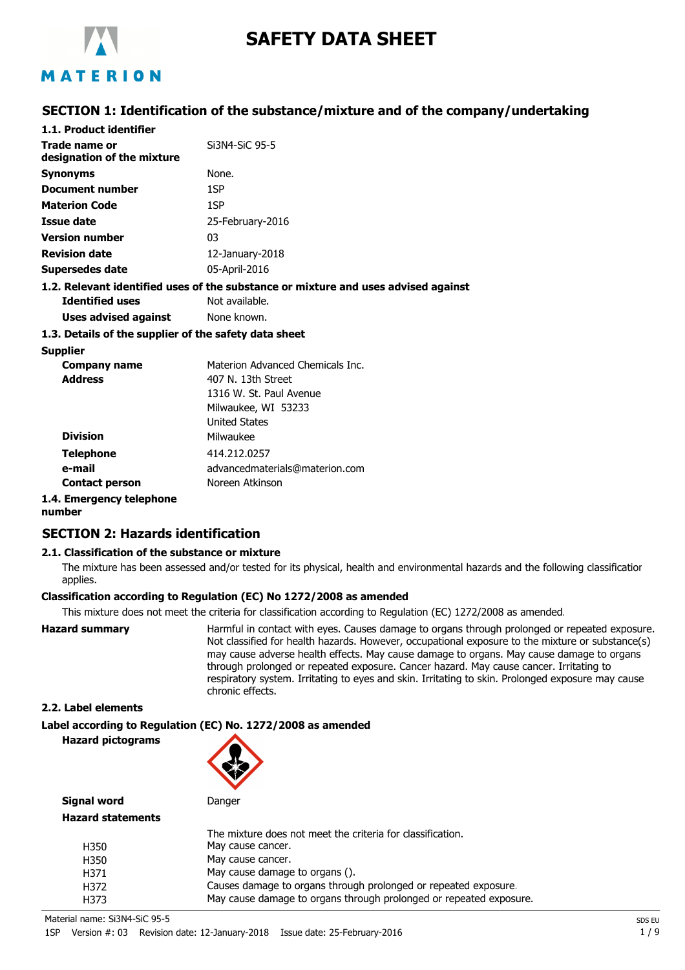

# **SAFETY DATA SHEET**

# MATERION

## **SECTION 1: Identification of the substance/mixture and of the company/undertaking**

| 1.1. Product identifier                               |                                                                                    |
|-------------------------------------------------------|------------------------------------------------------------------------------------|
| Trade name or<br>designation of the mixture           | Si3N4-SiC 95-5                                                                     |
| <b>Synonyms</b>                                       | None.                                                                              |
| Document number                                       | 1SP                                                                                |
| <b>Materion Code</b>                                  | 1SP                                                                                |
| Issue date                                            | 25-February-2016                                                                   |
| <b>Version number</b>                                 | 03                                                                                 |
| <b>Revision date</b>                                  | $12$ -January-2018                                                                 |
| Supersedes date                                       | 05-April-2016                                                                      |
|                                                       | 1.2. Relevant identified uses of the substance or mixture and uses advised against |
| <b>Identified uses</b>                                | Not available.                                                                     |
| Uses advised against                                  | None known.                                                                        |
| 1.3. Details of the supplier of the safety data sheet |                                                                                    |
| <b>Supplier</b>                                       |                                                                                    |
| Company name                                          | Materion Advanced Chemicals Inc.                                                   |
|                                                       | $107 N$ $121 N$                                                                    |

| Juppner               |                                  |
|-----------------------|----------------------------------|
| <b>Company name</b>   | Materion Advanced Chemicals Inc. |
| <b>Address</b>        | 407 N. 13th Street               |
|                       | 1316 W. St. Paul Avenue          |
|                       | Milwaukee, WI 53233              |
|                       | <b>United States</b>             |
| <b>Division</b>       | Milwaukee                        |
| <b>Telephone</b>      | 414.212.0257                     |
| e-mail                | advancedmaterials@materion.com   |
| <b>Contact person</b> | Noreen Atkinson                  |

## **1.4. Emergency telephone**

**number**

## **SECTION 2: Hazards identification**

#### **2.1. Classification of the substance or mixture**

The mixture has been assessed and/or tested for its physical, health and environmental hazards and the following classification applies.

#### **Classification according to Regulation (EC) No 1272/2008 as amended**

This mixture does not meet the criteria for classification according to Regulation (EC) 1272/2008 as amended.

**Hazard summary Harmful in contact with eyes. Causes damage to organs through prolonged or repeated exposure.** Not classified for health hazards. However, occupational exposure to the mixture or substance(s) may cause adverse health effects. May cause damage to organs. May cause damage to organs through prolonged or repeated exposure. Cancer hazard. May cause cancer. Irritating to respiratory system. Irritating to eyes and skin. Irritating to skin. Prolonged exposure may cause chronic effects.

#### **2.2. Label elements**

## **Label according to Regulation (EC) No. 1272/2008 as amended**

**Hazard pictograms**



**Signal word** Danger **Hazard stat** 

H<sub>350</sub>

| ard statements |                                                                    |
|----------------|--------------------------------------------------------------------|
|                | The mixture does not meet the criteria for classification.         |
| H350           | May cause cancer.                                                  |
| H350           | May cause cancer.                                                  |
| H371           | May cause damage to organs ().                                     |
| H372           | Causes damage to organs through prolonged or repeated exposure.    |
| H373           | May cause damage to organs through prolonged or repeated exposure. |
|                |                                                                    |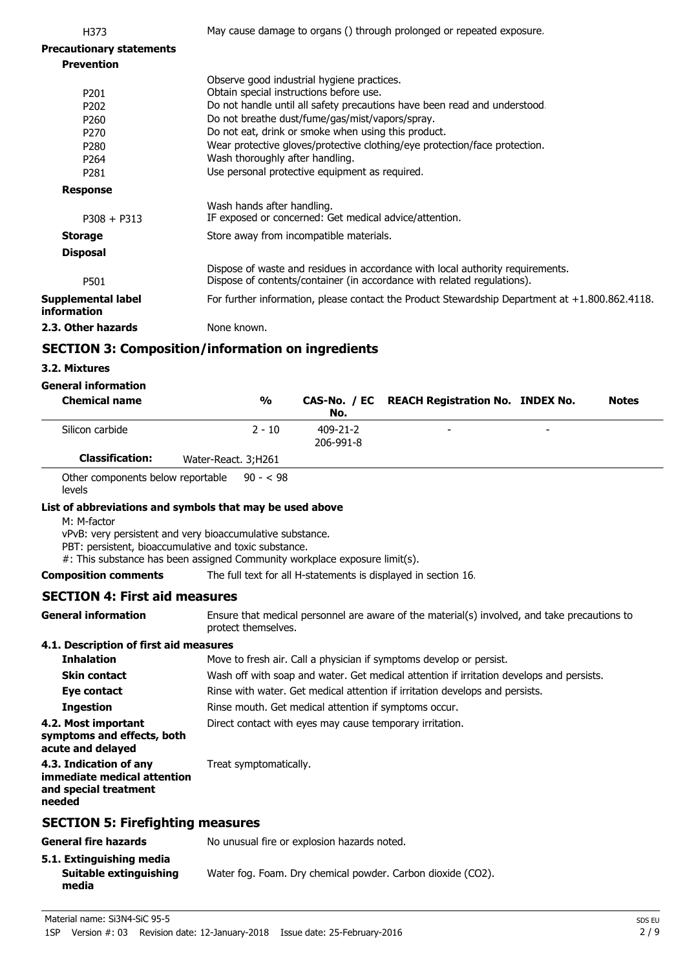| H373                                                                                                                 | May cause damage to organs () through prolonged or repeated exposure.                                                                                                                                                                                                                                                                                                                         |
|----------------------------------------------------------------------------------------------------------------------|-----------------------------------------------------------------------------------------------------------------------------------------------------------------------------------------------------------------------------------------------------------------------------------------------------------------------------------------------------------------------------------------------|
| <b>Precautionary statements</b>                                                                                      |                                                                                                                                                                                                                                                                                                                                                                                               |
| <b>Prevention</b>                                                                                                    |                                                                                                                                                                                                                                                                                                                                                                                               |
| P <sub>201</sub><br>P <sub>202</sub><br>P <sub>260</sub><br>P <sub>270</sub><br>P <sub>280</sub><br>P <sub>264</sub> | Observe good industrial hygiene practices.<br>Obtain special instructions before use.<br>Do not handle until all safety precautions have been read and understood.<br>Do not breathe dust/fume/gas/mist/vapors/spray.<br>Do not eat, drink or smoke when using this product.<br>Wear protective gloves/protective clothing/eye protection/face protection.<br>Wash thoroughly after handling. |
| P281                                                                                                                 | Use personal protective equipment as required.                                                                                                                                                                                                                                                                                                                                                |
| <b>Response</b>                                                                                                      |                                                                                                                                                                                                                                                                                                                                                                                               |
| $P308 + P313$                                                                                                        | Wash hands after handling.<br>IF exposed or concerned: Get medical advice/attention.                                                                                                                                                                                                                                                                                                          |
| <b>Storage</b>                                                                                                       | Store away from incompatible materials.                                                                                                                                                                                                                                                                                                                                                       |
| <b>Disposal</b>                                                                                                      |                                                                                                                                                                                                                                                                                                                                                                                               |
| P501                                                                                                                 | Dispose of waste and residues in accordance with local authority requirements.<br>Dispose of contents/container (in accordance with related regulations).                                                                                                                                                                                                                                     |
| <b>Supplemental label</b><br>information                                                                             | For further information, please contact the Product Stewardship Department at +1.800.862.4118.                                                                                                                                                                                                                                                                                                |
| 2.3. Other hazards                                                                                                   | None known.                                                                                                                                                                                                                                                                                                                                                                                   |
|                                                                                                                      | CECTION 2. Camposition/information on ingradiants                                                                                                                                                                                                                                                                                                                                             |

# **SECTION 3: Composition/information on ingredients**

## **3.2. Mixtures**

| <b>General information</b>                                                                                     |
|----------------------------------------------------------------------------------------------------------------|
| Absolvation and the contract of the contract of the contract of the contract of the contract of the contract o |

| <b>Chemical name</b>                                                                                                                                                                                                                                                        | %                                                     | CAS-No. / EC<br>No.   | <b>REACH Registration No. INDEX No.</b>                                                      | <b>Notes</b> |
|-----------------------------------------------------------------------------------------------------------------------------------------------------------------------------------------------------------------------------------------------------------------------------|-------------------------------------------------------|-----------------------|----------------------------------------------------------------------------------------------|--------------|
| Silicon carbide                                                                                                                                                                                                                                                             | $2 - 10$                                              | 409-21-2<br>206-991-8 |                                                                                              |              |
| <b>Classification:</b>                                                                                                                                                                                                                                                      | Water-React. 3;H261                                   |                       |                                                                                              |              |
| Other components below reportable<br>levels                                                                                                                                                                                                                                 | $90 - 598$                                            |                       |                                                                                              |              |
| List of abbreviations and symbols that may be used above<br>M: M-factor<br>vPvB: very persistent and very bioaccumulative substance.<br>PBT: persistent, bioaccumulative and toxic substance.<br>#: This substance has been assigned Community workplace exposure limit(s). |                                                       |                       |                                                                                              |              |
| <b>Composition comments</b>                                                                                                                                                                                                                                                 |                                                       |                       | The full text for all H-statements is displayed in section 16.                               |              |
| <b>SECTION 4: First aid measures</b>                                                                                                                                                                                                                                        |                                                       |                       |                                                                                              |              |
| <b>General information</b>                                                                                                                                                                                                                                                  | protect themselves.                                   |                       | Ensure that medical personnel are aware of the material(s) involved, and take precautions to |              |
| 4.1. Description of first aid measures                                                                                                                                                                                                                                      |                                                       |                       |                                                                                              |              |
| <b>Inhalation</b>                                                                                                                                                                                                                                                           |                                                       |                       | Move to fresh air. Call a physician if symptoms develop or persist.                          |              |
| <b>Skin contact</b>                                                                                                                                                                                                                                                         |                                                       |                       | Wash off with soap and water. Get medical attention if irritation develops and persists.     |              |
| Eye contact                                                                                                                                                                                                                                                                 |                                                       |                       | Rinse with water. Get medical attention if irritation develops and persists.                 |              |
| <b>Ingestion</b>                                                                                                                                                                                                                                                            | Rinse mouth. Get medical attention if symptoms occur. |                       |                                                                                              |              |
| 4.2. Most important<br>symptoms and effects, both<br>acute and delayed                                                                                                                                                                                                      |                                                       |                       | Direct contact with eyes may cause temporary irritation.                                     |              |
| 4.3. Indication of any<br>immediate medical attention<br>and special treatment<br>needed                                                                                                                                                                                    | Treat symptomatically.                                |                       |                                                                                              |              |
| <b>SECTION 5: Firefighting measures</b>                                                                                                                                                                                                                                     |                                                       |                       |                                                                                              |              |
| <b>General fire hazards</b>                                                                                                                                                                                                                                                 | No unusual fire or explosion hazards noted.           |                       |                                                                                              |              |
| 5.1. Extinguishing media<br><b>Suitable extinguishing</b><br>media                                                                                                                                                                                                          |                                                       |                       | Water fog. Foam. Dry chemical powder. Carbon dioxide (CO2).                                  |              |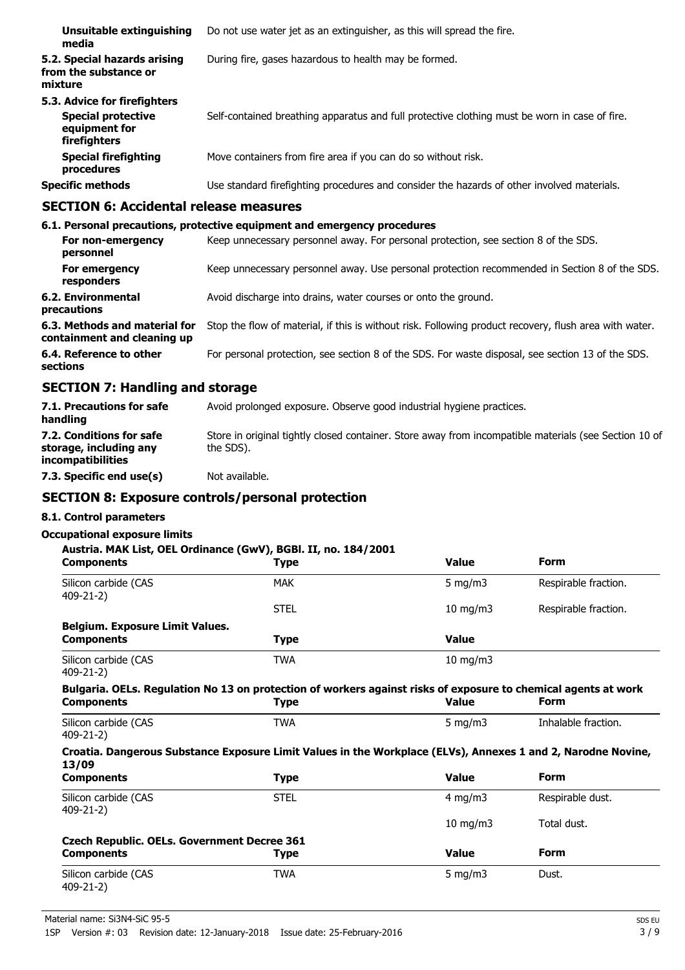| Unsuitable extinguishing<br>media                                                          | Do not use water jet as an extinguisher, as this will spread the fire.                        |
|--------------------------------------------------------------------------------------------|-----------------------------------------------------------------------------------------------|
| 5.2. Special hazards arising<br>from the substance or<br>mixture                           | During fire, gases hazardous to health may be formed.                                         |
| 5.3. Advice for firefighters<br><b>Special protective</b><br>equipment for<br>firefighters | Self-contained breathing apparatus and full protective clothing must be worn in case of fire. |
| <b>Special firefighting</b><br>procedures                                                  | Move containers from fire area if you can do so without risk.                                 |
| <b>Specific methods</b>                                                                    | Use standard firefighting procedures and consider the hazards of other involved materials.    |

## **SECTION 6: Accidental release measures**

|                                                              | 6.1. Personal precautions, protective equipment and emergency procedures                               |
|--------------------------------------------------------------|--------------------------------------------------------------------------------------------------------|
| For non-emergency<br>personnel                               | Keep unnecessary personnel away. For personal protection, see section 8 of the SDS.                    |
| For emergency<br>responders                                  | Keep unnecessary personnel away. Use personal protection recommended in Section 8 of the SDS.          |
| 6.2. Environmental<br>precautions                            | Avoid discharge into drains, water courses or onto the ground.                                         |
| 6.3. Methods and material for<br>containment and cleaning up | Stop the flow of material, if this is without risk. Following product recovery, flush area with water. |
| 6.4. Reference to other<br>sections                          | For personal protection, see section 8 of the SDS. For waste disposal, see section 13 of the SDS.      |

# **SECTION 7: Handling and storage**

| 7.1. Precautions for safe<br>handling                                          | Avoid prolonged exposure. Observe good industrial hygiene practices.                                               |
|--------------------------------------------------------------------------------|--------------------------------------------------------------------------------------------------------------------|
| 7.2. Conditions for safe<br>storage, including any<br><i>incompatibilities</i> | Store in original tightly closed container. Store away from incompatible materials (see Section 10 of<br>the SDS). |
| 7.3. Specific end use(s)                                                       | Not available.                                                                                                     |

## **SECTION 8: Exposure controls/personal protection**

## **8.1. Control parameters**

## **Occupational exposure limits**

|                                             | Austria. MAK List, OEL Ordinance (GwV), BGBI. II, no. 184/2001                                                 |                   |                      |
|---------------------------------------------|----------------------------------------------------------------------------------------------------------------|-------------------|----------------------|
| <b>Components</b>                           | Type                                                                                                           | <b>Value</b>      | <b>Form</b>          |
| Silicon carbide (CAS<br>$409 - 21 - 2$      | <b>MAK</b>                                                                                                     | 5 mg/m $3$        | Respirable fraction. |
|                                             | <b>STEL</b>                                                                                                    | $10$ mg/m $3$     | Respirable fraction. |
| Belgium. Exposure Limit Values.             |                                                                                                                |                   |                      |
| <b>Components</b>                           | <b>Type</b>                                                                                                    | <b>Value</b>      |                      |
| Silicon carbide (CAS<br>$409 - 21 - 2$      | <b>TWA</b>                                                                                                     | $10 \text{ mg/m}$ |                      |
|                                             | Bulgaria. OELs. Regulation No 13 on protection of workers against risks of exposure to chemical agents at work |                   |                      |
| <b>Components</b>                           | Type                                                                                                           | <b>Value</b>      | <b>Form</b>          |
| Silicon carbide (CAS<br>409-21-2)           | <b>TWA</b>                                                                                                     | 5 mg/m $3$        | Inhalable fraction.  |
| 13/09                                       | Croatia. Dangerous Substance Exposure Limit Values in the Workplace (ELVs), Annexes 1 and 2, Narodne Novine,   |                   |                      |
| <b>Components</b>                           | <b>Type</b>                                                                                                    | <b>Value</b>      | <b>Form</b>          |
| Silicon carbide (CAS<br>$409 - 21 - 2$      | <b>STEL</b>                                                                                                    | $4$ mg/m $3$      | Respirable dust.     |
|                                             |                                                                                                                | $10$ mg/m $3$     | Total dust.          |
| Czech Republic. OELs. Government Decree 361 |                                                                                                                |                   |                      |
| <b>Components</b>                           | Type                                                                                                           | <b>Value</b>      | <b>Form</b>          |
| Silicon carbide (CAS<br>$409 - 21 - 2$      | <b>TWA</b>                                                                                                     | 5 mg/m $3$        | Dust.                |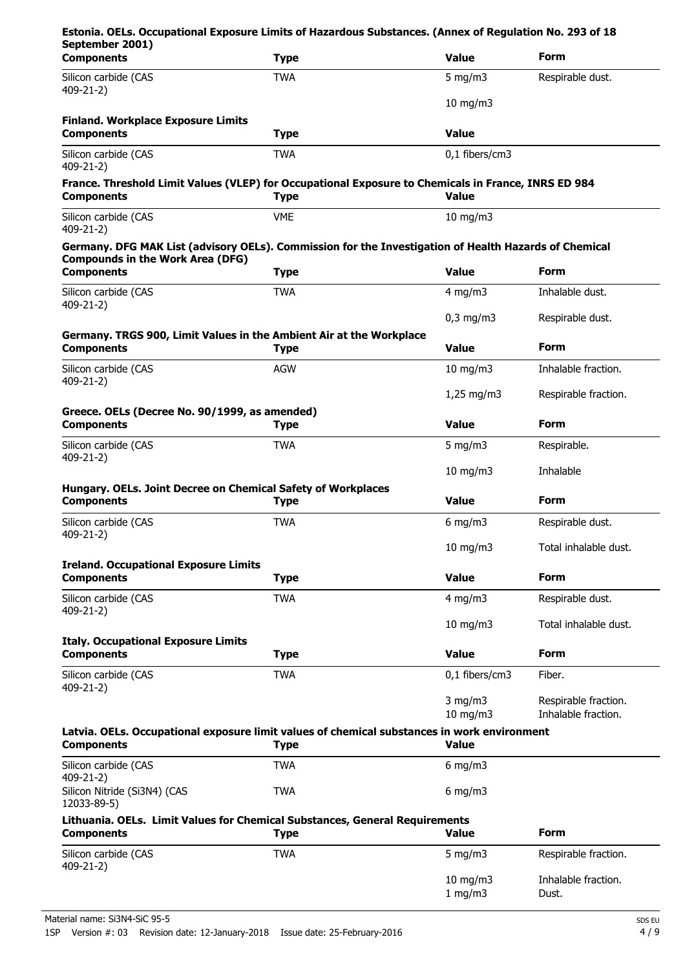| <b>Type</b>                                                                                | <b>Value</b>                                                                                                                                                                                                                     | <b>Form</b>                                                                                                                                                                                                                                                                                                                                                                                                                                                      |
|--------------------------------------------------------------------------------------------|----------------------------------------------------------------------------------------------------------------------------------------------------------------------------------------------------------------------------------|------------------------------------------------------------------------------------------------------------------------------------------------------------------------------------------------------------------------------------------------------------------------------------------------------------------------------------------------------------------------------------------------------------------------------------------------------------------|
| <b>TWA</b>                                                                                 | 5 mg/m $3$                                                                                                                                                                                                                       | Respirable dust.                                                                                                                                                                                                                                                                                                                                                                                                                                                 |
|                                                                                            | $10$ mg/m $3$                                                                                                                                                                                                                    |                                                                                                                                                                                                                                                                                                                                                                                                                                                                  |
| <b>Type</b>                                                                                | <b>Value</b>                                                                                                                                                                                                                     |                                                                                                                                                                                                                                                                                                                                                                                                                                                                  |
| <b>TWA</b>                                                                                 | 0,1 fibers/cm3                                                                                                                                                                                                                   |                                                                                                                                                                                                                                                                                                                                                                                                                                                                  |
| <b>Type</b>                                                                                | <b>Value</b>                                                                                                                                                                                                                     |                                                                                                                                                                                                                                                                                                                                                                                                                                                                  |
| <b>VME</b>                                                                                 | 10 mg/m $3$                                                                                                                                                                                                                      |                                                                                                                                                                                                                                                                                                                                                                                                                                                                  |
|                                                                                            |                                                                                                                                                                                                                                  |                                                                                                                                                                                                                                                                                                                                                                                                                                                                  |
| <b>Type</b>                                                                                | <b>Value</b>                                                                                                                                                                                                                     | <b>Form</b>                                                                                                                                                                                                                                                                                                                                                                                                                                                      |
| <b>TWA</b>                                                                                 | 4 mg/m $3$                                                                                                                                                                                                                       | Inhalable dust.                                                                                                                                                                                                                                                                                                                                                                                                                                                  |
|                                                                                            | $0,3$ mg/m $3$                                                                                                                                                                                                                   | Respirable dust.                                                                                                                                                                                                                                                                                                                                                                                                                                                 |
| <b>Type</b>                                                                                | <b>Value</b>                                                                                                                                                                                                                     | <b>Form</b>                                                                                                                                                                                                                                                                                                                                                                                                                                                      |
| <b>AGW</b>                                                                                 | $10$ mg/m $3$                                                                                                                                                                                                                    | Inhalable fraction.                                                                                                                                                                                                                                                                                                                                                                                                                                              |
|                                                                                            | $1,25$ mg/m3                                                                                                                                                                                                                     | Respirable fraction.                                                                                                                                                                                                                                                                                                                                                                                                                                             |
| <b>Type</b>                                                                                | <b>Value</b>                                                                                                                                                                                                                     | <b>Form</b>                                                                                                                                                                                                                                                                                                                                                                                                                                                      |
| <b>TWA</b>                                                                                 | 5 mg/m $3$                                                                                                                                                                                                                       | Respirable.                                                                                                                                                                                                                                                                                                                                                                                                                                                      |
|                                                                                            | $10$ mg/m $3$                                                                                                                                                                                                                    | Inhalable                                                                                                                                                                                                                                                                                                                                                                                                                                                        |
| <b>Type</b>                                                                                | <b>Value</b>                                                                                                                                                                                                                     | <b>Form</b>                                                                                                                                                                                                                                                                                                                                                                                                                                                      |
| <b>TWA</b>                                                                                 | $6$ mg/m $3$                                                                                                                                                                                                                     | Respirable dust.                                                                                                                                                                                                                                                                                                                                                                                                                                                 |
|                                                                                            | 10 mg/m3                                                                                                                                                                                                                         | Total inhalable dust.                                                                                                                                                                                                                                                                                                                                                                                                                                            |
|                                                                                            |                                                                                                                                                                                                                                  |                                                                                                                                                                                                                                                                                                                                                                                                                                                                  |
|                                                                                            |                                                                                                                                                                                                                                  | <b>Form</b>                                                                                                                                                                                                                                                                                                                                                                                                                                                      |
|                                                                                            |                                                                                                                                                                                                                                  | Respirable dust.                                                                                                                                                                                                                                                                                                                                                                                                                                                 |
|                                                                                            | $10$ mg/m $3$                                                                                                                                                                                                                    | Total inhalable dust.                                                                                                                                                                                                                                                                                                                                                                                                                                            |
|                                                                                            | <b>Value</b>                                                                                                                                                                                                                     | <b>Form</b>                                                                                                                                                                                                                                                                                                                                                                                                                                                      |
| <b>TWA</b>                                                                                 | 0,1 fibers/cm3                                                                                                                                                                                                                   | Fiber.                                                                                                                                                                                                                                                                                                                                                                                                                                                           |
|                                                                                            | $3$ mg/m $3$                                                                                                                                                                                                                     | Respirable fraction.<br>Inhalable fraction.                                                                                                                                                                                                                                                                                                                                                                                                                      |
|                                                                                            |                                                                                                                                                                                                                                  |                                                                                                                                                                                                                                                                                                                                                                                                                                                                  |
|                                                                                            |                                                                                                                                                                                                                                  |                                                                                                                                                                                                                                                                                                                                                                                                                                                                  |
| <b>Type</b>                                                                                | <b>Value</b>                                                                                                                                                                                                                     |                                                                                                                                                                                                                                                                                                                                                                                                                                                                  |
| <b>TWA</b>                                                                                 | $6$ mg/m $3$                                                                                                                                                                                                                     |                                                                                                                                                                                                                                                                                                                                                                                                                                                                  |
| <b>TWA</b>                                                                                 | $6$ mg/m $3$                                                                                                                                                                                                                     |                                                                                                                                                                                                                                                                                                                                                                                                                                                                  |
| Lithuania. OELs. Limit Values for Chemical Substances, General Requirements<br><b>Type</b> | <b>Value</b>                                                                                                                                                                                                                     | <b>Form</b>                                                                                                                                                                                                                                                                                                                                                                                                                                                      |
| <b>TWA</b>                                                                                 | 5 mg/m $3$                                                                                                                                                                                                                       | Respirable fraction.                                                                                                                                                                                                                                                                                                                                                                                                                                             |
|                                                                                            | Germany. TRGS 900, Limit Values in the Ambient Air at the Workplace<br>Greece. OELs (Decree No. 90/1999, as amended)<br>Hungary. OELs. Joint Decree on Chemical Safety of Workplaces<br><b>Type</b><br><b>TWA</b><br><b>Type</b> | Estonia. OELs. Occupational Exposure Limits of Hazardous Substances. (Annex of Regulation No. 293 of 18<br>France. Threshold Limit Values (VLEP) for Occupational Exposure to Chemicals in France, INRS ED 984<br>Germany. DFG MAK List (advisory OELs). Commission for the Investigation of Health Hazards of Chemical<br><b>Value</b><br>4 mg/m $3$<br>10 mg/m3<br>Latvia. OELs. Occupational exposure limit values of chemical substances in work environment |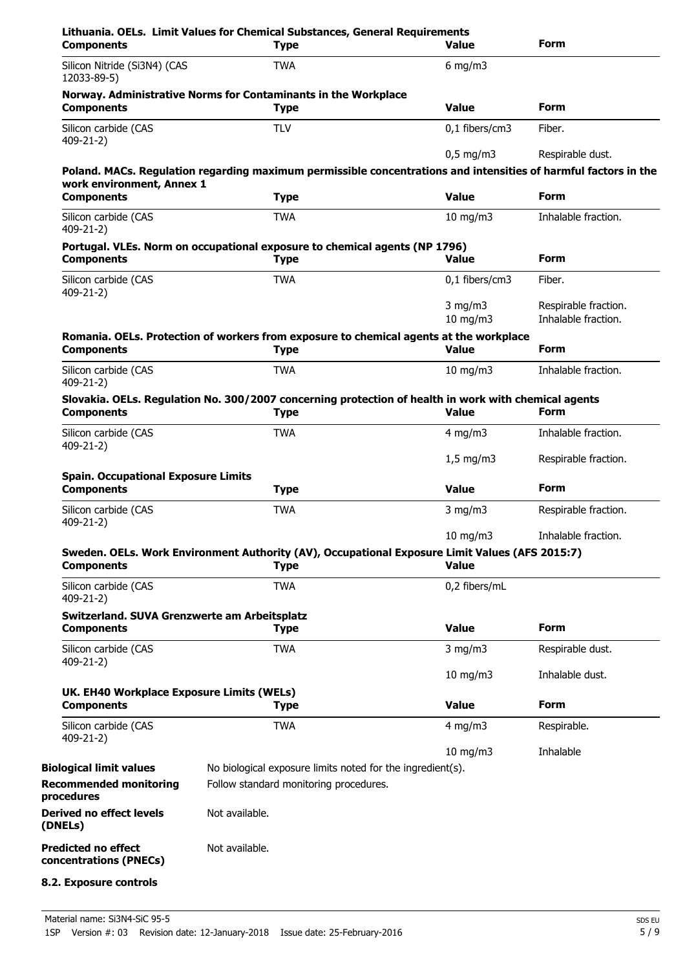| <b>Components</b>                                               | <b>Type</b>                                                                                                         | <b>Value</b>       | <b>Form</b>          |
|-----------------------------------------------------------------|---------------------------------------------------------------------------------------------------------------------|--------------------|----------------------|
| Silicon Nitride (Si3N4) (CAS<br>12033-89-5)                     | <b>TWA</b>                                                                                                          | $6$ mg/m $3$       |                      |
| <b>Components</b>                                               | Norway. Administrative Norms for Contaminants in the Workplace<br><b>Type</b>                                       | <b>Value</b>       | Form                 |
| Silicon carbide (CAS<br>409-21-2)                               | <b>TLV</b>                                                                                                          | 0,1 fibers/cm3     | Fiber.               |
|                                                                 |                                                                                                                     | $0.5$ mg/m3        | Respirable dust.     |
|                                                                 | Poland. MACs. Regulation regarding maximum permissible concentrations and intensities of harmful factors in the     |                    |                      |
| work environment, Annex 1<br><b>Components</b>                  | <b>Type</b>                                                                                                         | <b>Value</b>       | <b>Form</b>          |
| Silicon carbide (CAS                                            | <b>TWA</b>                                                                                                          | $10 \text{ mg/m}$  | Inhalable fraction.  |
| $409 - 21 - 2$                                                  |                                                                                                                     |                    |                      |
| <b>Components</b>                                               | Portugal. VLEs. Norm on occupational exposure to chemical agents (NP 1796)<br><b>Type</b>                           | <b>Value</b>       | <b>Form</b>          |
| Silicon carbide (CAS                                            | <b>TWA</b>                                                                                                          | 0,1 fibers/cm3     | Fiber.               |
| 409-21-2)                                                       |                                                                                                                     | $3$ mg/m $3$       | Respirable fraction. |
|                                                                 |                                                                                                                     | $10 \text{ mg/m}$  | Inhalable fraction.  |
|                                                                 | Romania. OELs. Protection of workers from exposure to chemical agents at the workplace                              | <b>Value</b>       | <b>Form</b>          |
| <b>Components</b>                                               | <b>Type</b>                                                                                                         |                    |                      |
| Silicon carbide (CAS<br>$409 - 21 - 2$                          | <b>TWA</b>                                                                                                          | $10$ mg/m $3$      | Inhalable fraction.  |
| <b>Components</b>                                               | Slovakia. OELs. Regulation No. 300/2007 concerning protection of health in work with chemical agents<br><b>Type</b> | <b>Value</b>       | <b>Form</b>          |
| Silicon carbide (CAS                                            | <b>TWA</b>                                                                                                          | 4 mg/m $3$         | Inhalable fraction.  |
| $409 - 21 - 2$                                                  |                                                                                                                     |                    |                      |
|                                                                 |                                                                                                                     | $1,5 \text{ mg/m}$ | Respirable fraction. |
| <b>Spain. Occupational Exposure Limits</b><br><b>Components</b> | <b>Type</b>                                                                                                         | <b>Value</b>       | <b>Form</b>          |
| Silicon carbide (CAS<br>409-21-2)                               | <b>TWA</b>                                                                                                          | $3$ mg/m $3$       | Respirable fraction. |
|                                                                 |                                                                                                                     | 10 mg/m3           | Inhalable fraction.  |
| <b>Components</b>                                               | Sweden. OELs. Work Environment Authority (AV), Occupational Exposure Limit Values (AFS 2015:7)<br><b>Type</b>       | <b>Value</b>       |                      |
| Silicon carbide (CAS<br>$409 - 21 - 2$                          | <b>TWA</b>                                                                                                          | 0,2 fibers/mL      |                      |
| Switzerland. SUVA Grenzwerte am Arbeitsplatz                    |                                                                                                                     |                    |                      |
| <b>Components</b>                                               | <b>Type</b>                                                                                                         | <b>Value</b>       | <b>Form</b>          |
| Silicon carbide (CAS                                            | <b>TWA</b>                                                                                                          | $3$ mg/m $3$       | Respirable dust.     |
| $409 - 21 - 2$                                                  |                                                                                                                     | $10 \text{ mg/m}$  | Inhalable dust.      |
| UK. EH40 Workplace Exposure Limits (WELs)                       |                                                                                                                     |                    |                      |
| <b>Components</b>                                               | <b>Type</b>                                                                                                         | <b>Value</b>       | <b>Form</b>          |
| Silicon carbide (CAS<br>$409 - 21 - 2$                          | <b>TWA</b>                                                                                                          | 4 mg/m $3$         | Respirable.          |
|                                                                 |                                                                                                                     | $10$ mg/m $3$      | Inhalable            |
| <b>Biological limit values</b>                                  | No biological exposure limits noted for the ingredient(s).                                                          |                    |                      |
| <b>Recommended monitoring</b><br>procedures                     | Follow standard monitoring procedures.                                                                              |                    |                      |
| <b>Derived no effect levels</b><br>(DNELs)                      | Not available.                                                                                                      |                    |                      |
| <b>Predicted no effect</b><br>concentrations (PNECs)            | Not available.                                                                                                      |                    |                      |
| 8.2. Exposure controls                                          |                                                                                                                     |                    |                      |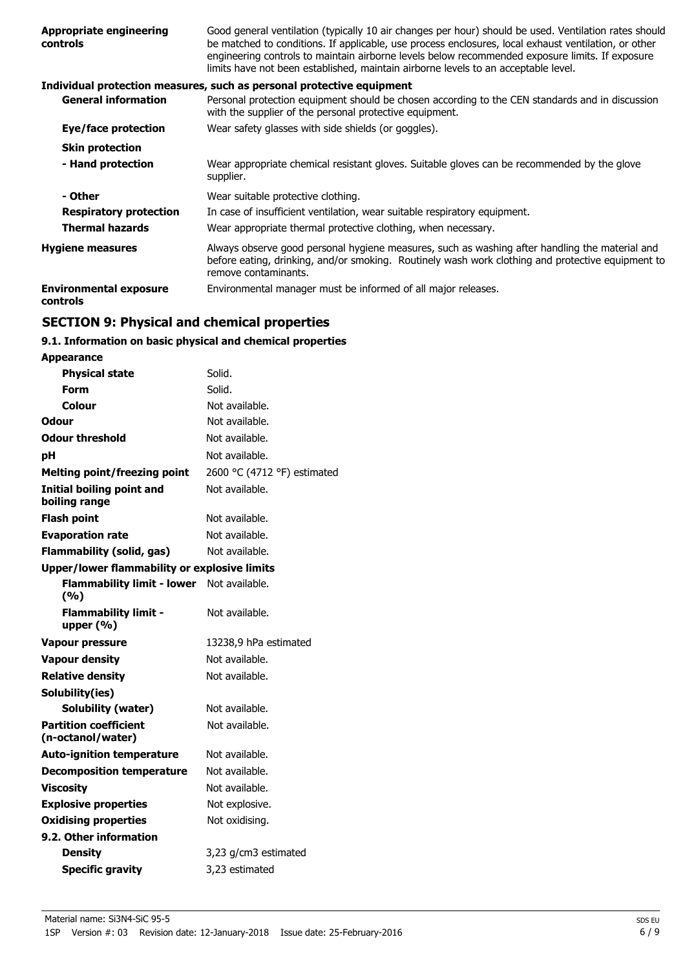| <b>Appropriate engineering</b><br>controls | Good general ventilation (typically 10 air changes per hour) should be used. Ventilation rates should<br>be matched to conditions. If applicable, use process enclosures, local exhaust ventilation, or other<br>engineering controls to maintain airborne levels below recommended exposure limits. If exposure<br>limits have not been established, maintain airborne levels to an acceptable level. |
|--------------------------------------------|--------------------------------------------------------------------------------------------------------------------------------------------------------------------------------------------------------------------------------------------------------------------------------------------------------------------------------------------------------------------------------------------------------|
|                                            | Individual protection measures, such as personal protective equipment                                                                                                                                                                                                                                                                                                                                  |
| <b>General information</b>                 | Personal protection equipment should be chosen according to the CEN standards and in discussion<br>with the supplier of the personal protective equipment.                                                                                                                                                                                                                                             |
| Eye/face protection                        | Wear safety glasses with side shields (or goggles).                                                                                                                                                                                                                                                                                                                                                    |
| <b>Skin protection</b>                     |                                                                                                                                                                                                                                                                                                                                                                                                        |
| - Hand protection                          | Wear appropriate chemical resistant gloves. Suitable gloves can be recommended by the glove<br>supplier.                                                                                                                                                                                                                                                                                               |
| - Other                                    | Wear suitable protective clothing.                                                                                                                                                                                                                                                                                                                                                                     |
| <b>Respiratory protection</b>              | In case of insufficient ventilation, wear suitable respiratory equipment.                                                                                                                                                                                                                                                                                                                              |
| <b>Thermal hazards</b>                     | Wear appropriate thermal protective clothing, when necessary.                                                                                                                                                                                                                                                                                                                                          |
| <b>Hygiene measures</b>                    | Always observe good personal hygiene measures, such as washing after handling the material and<br>before eating, drinking, and/or smoking. Routinely wash work clothing and protective equipment to<br>remove contaminants.                                                                                                                                                                            |
| <b>Environmental exposure</b><br>controls  | Environmental manager must be informed of all major releases.                                                                                                                                                                                                                                                                                                                                          |
|                                            |                                                                                                                                                                                                                                                                                                                                                                                                        |

## **SECTION 9: Physical and chemical properties**

## **9.1. Information on basic physical and chemical properties**

| <b>Appearance</b>                                   |                             |
|-----------------------------------------------------|-----------------------------|
| <b>Physical state</b>                               | Solid.                      |
| Form                                                | Solid.                      |
| Colour                                              | Not available.              |
| Odour                                               | Not available.              |
| <b>Odour threshold</b>                              | Not available.              |
| рH                                                  | Not available.              |
| <b>Melting point/freezing point</b>                 | 2600 °C (4712 °F) estimated |
| Initial boiling point and<br>boiling range          | Not available.              |
| <b>Flash point</b>                                  | Not available.              |
| <b>Evaporation rate</b>                             | Not available.              |
| <b>Flammability (solid, gas)</b>                    | Not available.              |
| <b>Upper/lower flammability or explosive limits</b> |                             |
| <b>Flammability limit - lower</b><br>(%)            | Not available.              |
| <b>Flammability limit -</b><br>upper $(% )$         | Not available.              |
| <b>Vapour pressure</b>                              | 13238,9 hPa estimated       |
| <b>Vapour density</b>                               | Not available.              |
| <b>Relative density</b>                             | Not available.              |
| Solubility(ies)                                     |                             |
| <b>Solubility (water)</b>                           | Not available.              |
| <b>Partition coefficient</b><br>(n-octanol/water)   | Not available.              |
| <b>Auto-ignition temperature</b>                    | Not available.              |
| <b>Decomposition temperature</b>                    | Not available.              |
| <b>Viscosity</b>                                    | Not available.              |
| <b>Explosive properties</b>                         | Not explosive.              |
| <b>Oxidising properties</b>                         | Not oxidising.              |
| 9.2. Other information                              |                             |
| <b>Density</b>                                      | 3,23 g/cm3 estimated        |
| <b>Specific gravity</b>                             | 3,23 estimated              |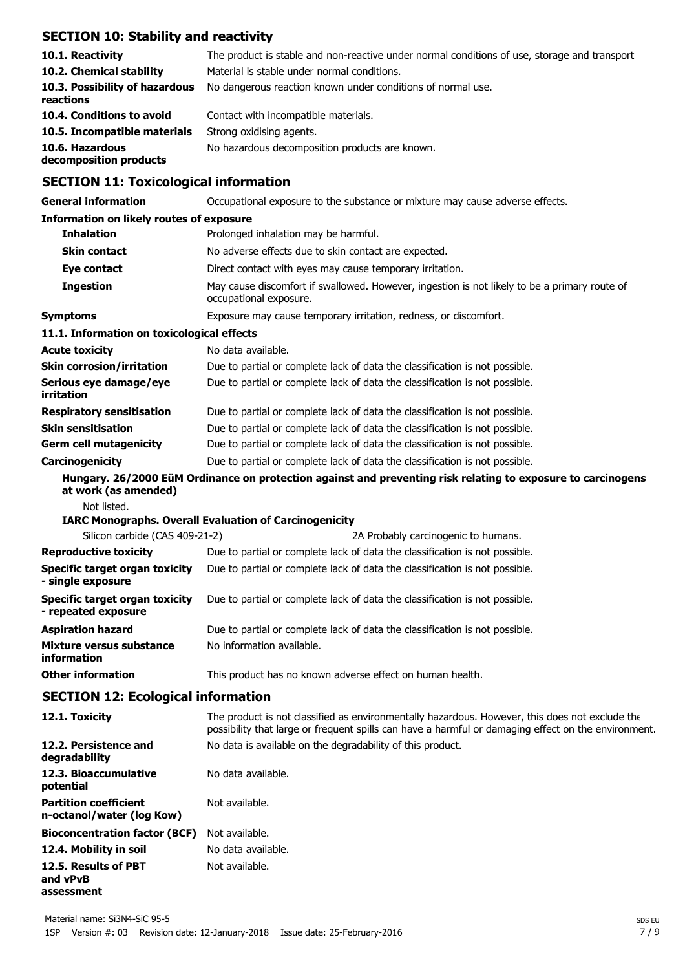## **SECTION 10: Stability and reactivity**

| 10.1. Reactivity<br>10.2. Chemical stability<br>10.3. Possibility of hazardous<br>reactions | The product is stable and non-reactive under normal conditions of use, storage and transport.<br>Material is stable under normal conditions.<br>No dangerous reaction known under conditions of normal use. |
|---------------------------------------------------------------------------------------------|-------------------------------------------------------------------------------------------------------------------------------------------------------------------------------------------------------------|
| 10.4. Conditions to avoid                                                                   | Contact with incompatible materials.                                                                                                                                                                        |
| 10.5. Incompatible materials                                                                | Strong oxidising agents.                                                                                                                                                                                    |
| 10.6. Hazardous<br>decomposition products                                                   | No hazardous decomposition products are known.                                                                                                                                                              |

## **SECTION 11: Toxicological information**

| <b>General information</b>                                     | Occupational exposure to the substance or mixture may cause adverse effects.                                                                                                                          |
|----------------------------------------------------------------|-------------------------------------------------------------------------------------------------------------------------------------------------------------------------------------------------------|
| <b>Information on likely routes of exposure</b>                |                                                                                                                                                                                                       |
| <b>Inhalation</b>                                              | Prolonged inhalation may be harmful.                                                                                                                                                                  |
| <b>Skin contact</b>                                            | No adverse effects due to skin contact are expected.                                                                                                                                                  |
| Eye contact                                                    | Direct contact with eyes may cause temporary irritation.                                                                                                                                              |
| <b>Ingestion</b>                                               | May cause discomfort if swallowed. However, ingestion is not likely to be a primary route of<br>occupational exposure.                                                                                |
| <b>Symptoms</b>                                                | Exposure may cause temporary irritation, redness, or discomfort.                                                                                                                                      |
| 11.1. Information on toxicological effects                     |                                                                                                                                                                                                       |
| <b>Acute toxicity</b>                                          | No data available.                                                                                                                                                                                    |
| <b>Skin corrosion/irritation</b>                               | Due to partial or complete lack of data the classification is not possible.                                                                                                                           |
| Serious eye damage/eye<br><b>irritation</b>                    | Due to partial or complete lack of data the classification is not possible.                                                                                                                           |
| <b>Respiratory sensitisation</b>                               | Due to partial or complete lack of data the classification is not possible.                                                                                                                           |
| <b>Skin sensitisation</b>                                      | Due to partial or complete lack of data the classification is not possible.                                                                                                                           |
| <b>Germ cell mutagenicity</b>                                  | Due to partial or complete lack of data the classification is not possible.                                                                                                                           |
| Carcinogenicity                                                | Due to partial or complete lack of data the classification is not possible.                                                                                                                           |
| at work (as amended)                                           | Hungary. 26/2000 EüM Ordinance on protection against and preventing risk relating to exposure to carcinogens                                                                                          |
| Not listed.                                                    |                                                                                                                                                                                                       |
|                                                                | <b>IARC Monographs. Overall Evaluation of Carcinogenicity</b>                                                                                                                                         |
| Silicon carbide (CAS 409-21-2)<br><b>Reproductive toxicity</b> | 2A Probably carcinogenic to humans.<br>Due to partial or complete lack of data the classification is not possible.                                                                                    |
| <b>Specific target organ toxicity</b>                          | Due to partial or complete lack of data the classification is not possible.                                                                                                                           |
| - single exposure                                              |                                                                                                                                                                                                       |
| <b>Specific target organ toxicity</b><br>- repeated exposure   | Due to partial or complete lack of data the classification is not possible.                                                                                                                           |
| <b>Aspiration hazard</b>                                       | Due to partial or complete lack of data the classification is not possible.                                                                                                                           |
| Mixture versus substance<br>information                        | No information available.                                                                                                                                                                             |
| <b>Other information</b>                                       | This product has no known adverse effect on human health.                                                                                                                                             |
| <b>SECTION 12: Ecological information</b>                      |                                                                                                                                                                                                       |
| 12.1. Toxicity                                                 | The product is not classified as environmentally hazardous. However, this does not exclude the<br>possibility that large or frequent spills can have a harmful or damaging effect on the environment. |
| 12.2. Persistence and<br>degradability                         | No data is available on the degradability of this product.                                                                                                                                            |
| 12.3. Bioaccumulative<br>potential                             | No data available.                                                                                                                                                                                    |
| <b>Partition coefficient</b><br>n-octanol/water (log Kow)      | Not available.                                                                                                                                                                                        |
| <b>Bioconcentration factor (BCF)</b>                           | Not available.                                                                                                                                                                                        |
| 12.4. Mobility in soil                                         | No data available.                                                                                                                                                                                    |
| 12.5. Results of PBT<br>and vPvB<br>assessment                 | Not available.                                                                                                                                                                                        |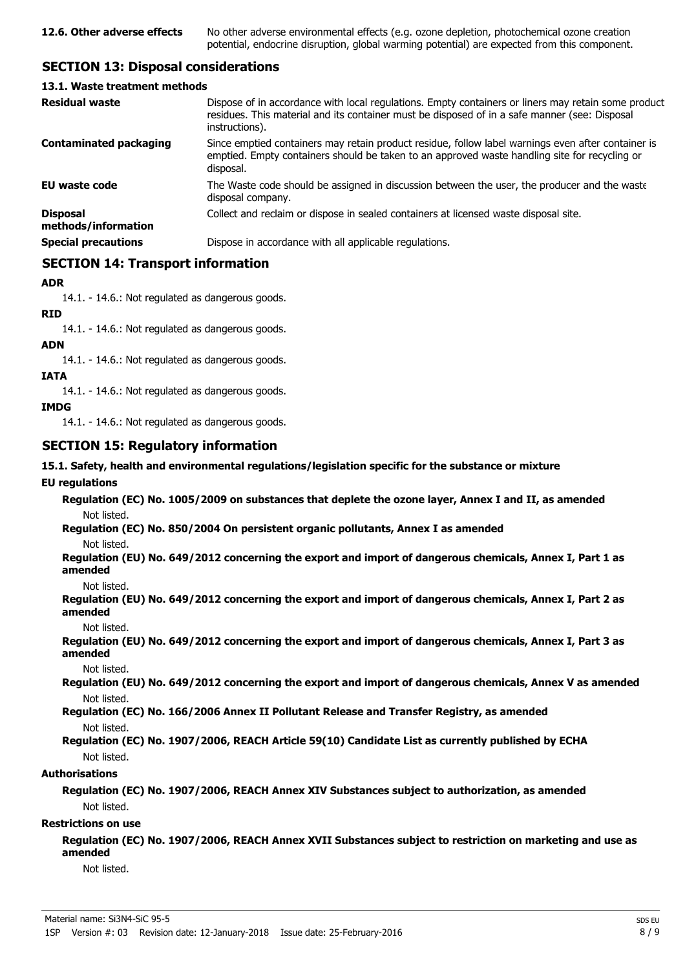## **SECTION 13: Disposal considerations**

#### **13.1. Waste treatment methods**

| <b>Residual waste</b>                  | Dispose of in accordance with local regulations. Empty containers or liners may retain some product<br>residues. This material and its container must be disposed of in a safe manner (see: Disposal<br>instructions). |
|----------------------------------------|------------------------------------------------------------------------------------------------------------------------------------------------------------------------------------------------------------------------|
| <b>Contaminated packaging</b>          | Since emptied containers may retain product residue, follow label warnings even after container is<br>emptied. Empty containers should be taken to an approved waste handling site for recycling or<br>disposal.       |
| EU waste code                          | The Waste code should be assigned in discussion between the user, the producer and the waste<br>disposal company.                                                                                                      |
| <b>Disposal</b><br>methods/information | Collect and reclaim or dispose in sealed containers at licensed waste disposal site.                                                                                                                                   |
| <b>Special precautions</b>             | Dispose in accordance with all applicable regulations.                                                                                                                                                                 |

## **SECTION 14: Transport information**

## **ADR**

14.1. - 14.6.: Not regulated as dangerous goods.

**RID**

14.1. - 14.6.: Not regulated as dangerous goods.

#### **ADN**

14.1. - 14.6.: Not regulated as dangerous goods.

#### **IATA**

14.1. - 14.6.: Not regulated as dangerous goods.

#### **IMDG**

14.1. - 14.6.: Not regulated as dangerous goods.

## **SECTION 15: Regulatory information**

#### **15.1. Safety, health and environmental regulations/legislation specific for the substance or mixture**

### **EU regulations**

**Regulation (EC) No. 1005/2009 on substances that deplete the ozone layer, Annex I and II, as amended** Not listed.

**Regulation (EC) No. 850/2004 On persistent organic pollutants, Annex I as amended** Not listed.

**Regulation (EU) No. 649/2012 concerning the export and import of dangerous chemicals, Annex I, Part 1 as**

**amended** Not listed.

**Regulation (EU) No. 649/2012 concerning the export and import of dangerous chemicals, Annex I, Part 2 as amended**

Not listed.

**Regulation (EU) No. 649/2012 concerning the export and import of dangerous chemicals, Annex I, Part 3 as amended**

Not listed.

**Regulation (EU) No. 649/2012 concerning the export and import of dangerous chemicals, Annex V as amended** Not listed.

**Regulation (EC) No. 166/2006 Annex II Pollutant Release and Transfer Registry, as amended** Not listed.

## **Regulation (EC) No. 1907/2006, REACH Article 59(10) Candidate List as currently published by ECHA** Not listed.

#### **Authorisations**

**Regulation (EC) No. 1907/2006, REACH Annex XIV Substances subject to authorization, as amended** Not listed.

## **Restrictions on use**

**Regulation (EC) No. 1907/2006, REACH Annex XVII Substances subject to restriction on marketing and use as amended**

Not listed.